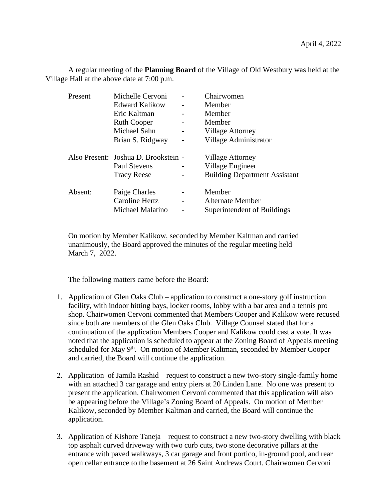A regular meeting of the **Planning Board** of the Village of Old Westbury was held at the Village Hall at the above date at 7:00 p.m.

| Present | Michelle Cervoni                     | Chairwomen                           |
|---------|--------------------------------------|--------------------------------------|
|         | Edward Kalikow                       | Member                               |
|         | Eric Kaltman                         | Member                               |
|         | <b>Ruth Cooper</b>                   | Member                               |
|         | Michael Sahn                         | <b>Village Attorney</b>              |
|         | Brian S. Ridgway                     | Village Administrator                |
|         | Also Present: Joshua D. Brookstein - | <b>Village Attorney</b>              |
|         | Paul Stevens                         | Village Engineer                     |
|         | <b>Tracy Reese</b>                   | <b>Building Department Assistant</b> |
| Absent: | Paige Charles                        | Member                               |
|         | Caroline Hertz                       | Alternate Member                     |
|         | Michael Malatino                     | Superintendent of Buildings          |

On motion by Member Kalikow, seconded by Member Kaltman and carried unanimously, the Board approved the minutes of the regular meeting held March 7, 2022.

The following matters came before the Board:

- 1. Application of Glen Oaks Club application to construct a one-story golf instruction facility, with indoor hitting bays, locker rooms, lobby with a bar area and a tennis pro shop. Chairwomen Cervoni commented that Members Cooper and Kalikow were recused since both are members of the Glen Oaks Club. Village Counsel stated that for a continuation of the application Members Cooper and Kalikow could cast a vote. It was noted that the application is scheduled to appear at the Zoning Board of Appeals meeting scheduled for May 9<sup>th</sup>. On motion of Member Kaltman, seconded by Member Cooper and carried, the Board will continue the application.
- 2. Application of Jamila Rashid request to construct a new two-story single-family home with an attached 3 car garage and entry piers at 20 Linden Lane. No one was present to present the application. Chairwomen Cervoni commented that this application will also be appearing before the Village's Zoning Board of Appeals. On motion of Member Kalikow, seconded by Member Kaltman and carried, the Board will continue the application.
- 3. Application of Kishore Taneja request to construct a new two-story dwelling with black top asphalt curved driveway with two curb cuts, two stone decorative pillars at the entrance with paved walkways, 3 car garage and front portico, in-ground pool, and rear open cellar entrance to the basement at 26 Saint Andrews Court. Chairwomen Cervoni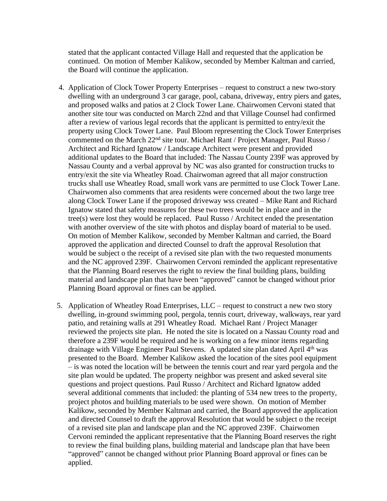stated that the applicant contacted Village Hall and requested that the application be continued. On motion of Member Kalikow, seconded by Member Kaltman and carried, the Board will continue the application.

- 4. Application of Clock Tower Property Enterprises request to construct a new two-story dwelling with an underground 3 car garage, pool, cabana, driveway, entry piers and gates, and proposed walks and patios at 2 Clock Tower Lane. Chairwomen Cervoni stated that another site tour was conducted on March 22nd and that Village Counsel had confirmed after a review of various legal records that the applicant is permitted to entry/exit the property using Clock Tower Lane. Paul Bloom representing the Clock Tower Enterprises commented on the March 22nd site tour. Michael Rant / Project Manager, Paul Russo / Architect and Richard Ignatow / Landscape Architect were present and provided additional updates to the Board that included: The Nassau County 239F was approved by Nassau County and a verbal approval by NC was also granted for construction trucks to entry/exit the site via Wheatley Road. Chairwoman agreed that all major construction trucks shall use Wheatley Road, small work vans are permitted to use Clock Tower Lane. Chairwomen also comments that area residents were concerned about the two large tree along Clock Tower Lane if the proposed driveway wss created – Mike Rant and Richard Ignatow stated that safety measures for these two trees would be in place and in the tree(s) were lost they would be replaced. Paul Russo / Architect ended the presentation with another overview of the site with photos and display board of material to be used. On motion of Member Kalikow, seconded by Member Kaltman and carried, the Board approved the application and directed Counsel to draft the approval Resolution that would be subject o the receipt of a revised site plan with the two requested monuments and the NC approved 239F. Chairwomen Cervoni reminded the applicant representative that the Planning Board reserves the right to review the final building plans, building material and landscape plan that have been "approved" cannot be changed without prior Planning Board approval or fines can be applied.
- 5. Application of Wheatley Road Enterprises, LLC request to construct a new two story dwelling, in-ground swimming pool, pergola, tennis court, driveway, walkways, rear yard patio, and retaining walls at 291 Wheatley Road. Michael Rant / Project Manager reviewed the projects site plan. He noted the site is located on a Nassau County road and therefore a 239F would be required and he is working on a few minor items regarding drainage with Village Engineer Paul Stevens. A updated site plan dated April 4th was presented to the Board. Member Kalikow asked the location of the sites pool equipment – is was noted the location will be between the tennis court and rear yard pergola and the site plan would be updated. The property neighbor was present and asked several site questions and project questions. Paul Russo / Architect and Richard Ignatow added several additional comments that included: the planting of 534 new trees to the property, project photos and building materials to be used were shown. On motion of Member Kalikow, seconded by Member Kaltman and carried, the Board approved the application and directed Counsel to draft the approval Resolution that would be subject o the receipt of a revised site plan and landscape plan and the NC approved 239F. Chairwomen Cervoni reminded the applicant representative that the Planning Board reserves the right to review the final building plans, building material and landscape plan that have been "approved" cannot be changed without prior Planning Board approval or fines can be applied.